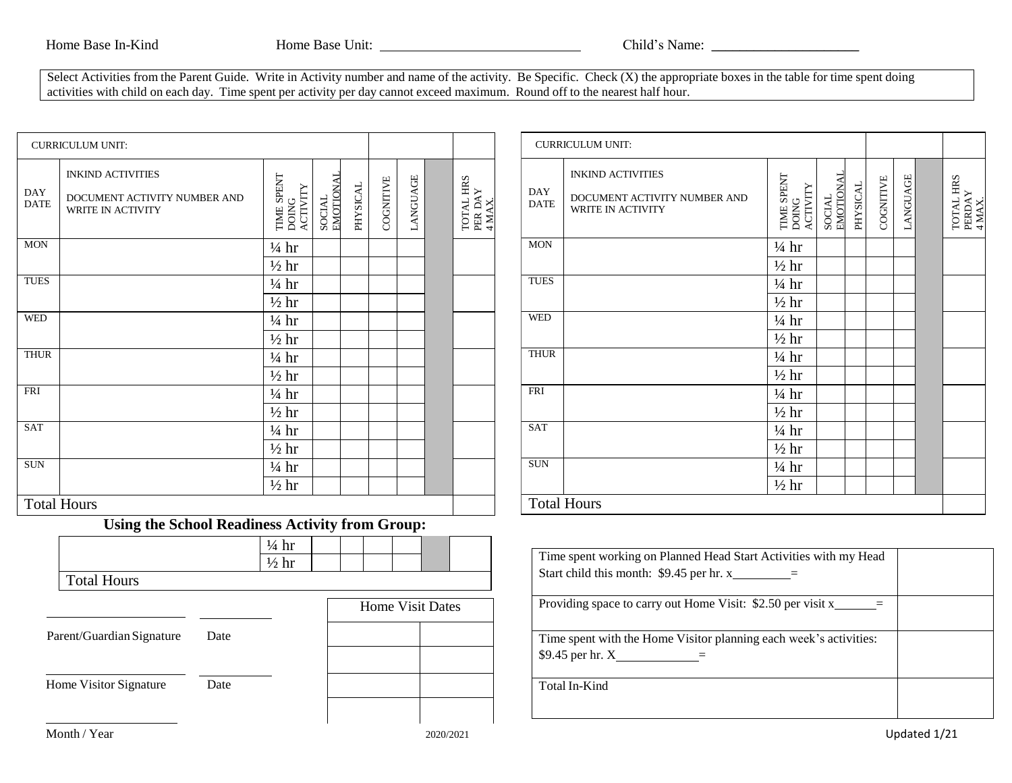Select Activities from the Parent Guide. Write in Activity number and name of the activity. Be Specific. Check (X) the appropriate boxes in the table for time spent doing activities with child on each day. Time spent per activity per day cannot exceed maximum. Round off to the nearest half hour.

|                           | <b>CURRICULUM UNIT:</b>                                                       |                                                        |          |           |                         |                            |                    | <b>CURRICULUM UNIT:</b>                                                                   |                                 |                     |          |           |                 |            |
|---------------------------|-------------------------------------------------------------------------------|--------------------------------------------------------|----------|-----------|-------------------------|----------------------------|--------------------|-------------------------------------------------------------------------------------------|---------------------------------|---------------------|----------|-----------|-----------------|------------|
| <b>DAY</b><br><b>DATE</b> | <b>INKIND ACTIVITIES</b><br>DOCUMENT ACTIVITY NUMBER AND<br>WRITE IN ACTIVITY | SOCIAL<br>EMOTIONAL<br>TIME SPENT<br>DOING<br>ACTIVITY | PHYSICAL | COGNITIVE | LANGUAGE                | TOTAL HRS PER DAY $4$ MAX. | DAY<br><b>DATE</b> | <b>INKIND ACTIVITIES</b><br>DOCUMENT ACTIVITY NUMBER AND<br>WRITE IN ACTIVITY             | TIME SPENT<br>DOING<br>ACTIVITY | SOCIAL<br>EMOTIONAL | PHYSICAL | COGNITIVE | <b>LANGUAGE</b> | <b>HRS</b> |
| <b>MON</b>                |                                                                               | $\frac{1}{4}$ hr                                       |          |           |                         |                            | <b>MON</b>         |                                                                                           | $\frac{1}{4}$ hr                |                     |          |           |                 |            |
|                           |                                                                               | $\frac{1}{2}$ hr                                       |          |           |                         |                            |                    |                                                                                           | $\frac{1}{2}$ hr                |                     |          |           |                 |            |
| <b>TUES</b>               |                                                                               | $\frac{1}{4}$ hr                                       |          |           |                         |                            | <b>TUES</b>        |                                                                                           | $\frac{1}{4}$ hr                |                     |          |           |                 |            |
|                           |                                                                               | $\frac{1}{2}$ hr                                       |          |           |                         |                            |                    |                                                                                           | $\frac{1}{2}$ hr                |                     |          |           |                 |            |
| <b>WED</b>                |                                                                               | $\frac{1}{4}$ hr                                       |          |           |                         |                            | <b>WED</b>         |                                                                                           | $\frac{1}{4}$ hr                |                     |          |           |                 |            |
|                           |                                                                               | $\frac{1}{2}$ hr                                       |          |           |                         |                            |                    |                                                                                           | $\frac{1}{2}$ hr                |                     |          |           |                 |            |
| <b>THUR</b>               |                                                                               | $\frac{1}{4}$ hr                                       |          |           |                         |                            | <b>THUR</b>        |                                                                                           | $\frac{1}{4}$ hr                |                     |          |           |                 |            |
|                           |                                                                               | $\frac{1}{2}$ hr                                       |          |           |                         |                            |                    |                                                                                           | $\frac{1}{2}$ hr                |                     |          |           |                 |            |
| <b>FRI</b>                |                                                                               | $\frac{1}{4}$ hr                                       |          |           |                         |                            | <b>FRI</b>         |                                                                                           | $\frac{1}{4}$ hr                |                     |          |           |                 |            |
|                           |                                                                               | $\frac{1}{2}$ hr                                       |          |           |                         |                            |                    |                                                                                           | $\frac{1}{2}$ hr                |                     |          |           |                 |            |
| SAT                       |                                                                               | $\frac{1}{4}$ hr                                       |          |           |                         |                            | SAT                |                                                                                           | $\frac{1}{4}$ hr                |                     |          |           |                 |            |
|                           |                                                                               | $\frac{1}{2}$ hr                                       |          |           |                         |                            |                    |                                                                                           | $\frac{1}{2}$ hr                |                     |          |           |                 |            |
| <b>SUN</b>                |                                                                               | $\frac{1}{4}$ hr                                       |          |           |                         |                            | <b>SUN</b>         |                                                                                           | $\frac{1}{4}$ hr                |                     |          |           |                 |            |
|                           |                                                                               | $\frac{1}{2}$ hr                                       |          |           |                         |                            |                    |                                                                                           | $\frac{1}{2}$ hr                |                     |          |           |                 |            |
|                           | <b>Total Hours</b>                                                            |                                                        |          |           |                         |                            |                    | <b>Total Hours</b>                                                                        |                                 |                     |          |           |                 |            |
|                           | Using the School Readiness Activity from Group:                               |                                                        |          |           |                         |                            |                    |                                                                                           |                                 |                     |          |           |                 |            |
|                           |                                                                               | $\frac{1}{4}$ hr                                       |          |           |                         |                            |                    |                                                                                           |                                 |                     |          |           |                 |            |
|                           |                                                                               | $\frac{1}{2}$ hr                                       |          |           |                         |                            |                    | Time spent working on Planned Head Start Activities with my Head                          |                                 |                     |          |           |                 |            |
|                           | <b>Total Hours</b>                                                            |                                                        |          |           |                         |                            |                    | Start child this month: $$9.45$ per hr. x__________                                       |                                 |                     |          |           |                 |            |
|                           |                                                                               |                                                        |          |           | <b>Home Visit Dates</b> |                            |                    | Providing space to carry out Home Visit: \$2.50 per visit $x$ =                           |                                 |                     |          |           |                 |            |
|                           | Parent/Guardian Signature<br>Date                                             |                                                        |          |           |                         |                            |                    | Time spent with the Home Visitor planning each week's activities:<br>\$9.45 per hr. $X$ = |                                 |                     |          |           |                 |            |
|                           | Home Visitor Signature<br>Date                                                |                                                        |          |           |                         |                            |                    | Total In-Kind                                                                             |                                 |                     |          |           |                 |            |
|                           | Month / Year                                                                  |                                                        |          |           |                         | 2020/2021                  |                    |                                                                                           |                                 |                     |          |           | Updated 1/21    |            |

|                           | <b>CURRICULUM UNIT:</b>                                                              |                              |                     |          |           |          |  |                               |
|---------------------------|--------------------------------------------------------------------------------------|------------------------------|---------------------|----------|-----------|----------|--|-------------------------------|
| <b>DAY</b><br><b>DATE</b> | <b>INKIND ACTIVITIES</b><br>DOCUMENT ACTIVITY NUMBER AND<br><b>WRITE IN ACTIVITY</b> | TIME SPENT DOING<br>ACTIVITY | SOCIAL<br>EMOTIONAL | PHYSICAL | COGNITIVE | LANGUAGE |  | TOTAL HRS<br>PERDAY<br>4 MAX. |
| <b>MON</b>                |                                                                                      | $\frac{1}{4}$ hr             |                     |          |           |          |  |                               |
|                           |                                                                                      | $\frac{1}{2}$ hr             |                     |          |           |          |  |                               |
| <b>TUES</b>               |                                                                                      | $\frac{1}{4}$ hr             |                     |          |           |          |  |                               |
|                           |                                                                                      | $\frac{1}{2}$ hr             |                     |          |           |          |  |                               |
| <b>WED</b>                |                                                                                      | $\frac{1}{4}$ hr             |                     |          |           |          |  |                               |
|                           |                                                                                      | $\frac{1}{2}$ hr             |                     |          |           |          |  |                               |
| <b>THUR</b>               |                                                                                      | $\frac{1}{4}$ hr             |                     |          |           |          |  |                               |
|                           |                                                                                      | $\frac{1}{2}$ hr             |                     |          |           |          |  |                               |
| <b>FRI</b>                |                                                                                      | $\frac{1}{4}$ hr             |                     |          |           |          |  |                               |
|                           |                                                                                      | $\frac{1}{2}$ hr             |                     |          |           |          |  |                               |
| <b>SAT</b>                |                                                                                      | $\frac{1}{4}$ hr             |                     |          |           |          |  |                               |
|                           |                                                                                      | $\frac{1}{2}$ hr             |                     |          |           |          |  |                               |
| <b>SUN</b>                |                                                                                      | $\frac{1}{4}$ hr             |                     |          |           |          |  |                               |
|                           |                                                                                      | $\frac{1}{2}$ hr             |                     |          |           |          |  |                               |
|                           | <b>Total Hours</b>                                                                   |                              |                     |          |           |          |  |                               |

| Time spent working on Planned Head Start Activities with my Head  |  |
|-------------------------------------------------------------------|--|
| Start child this month: \$9.45 per hr. x                          |  |
|                                                                   |  |
| Providing space to carry out Home Visit: \$2.50 per visit x       |  |
|                                                                   |  |
| Time spent with the Home Visitor planning each week's activities: |  |
| \$9.45 per hr. $X$                                                |  |
| Total In-Kind                                                     |  |
|                                                                   |  |
|                                                                   |  |